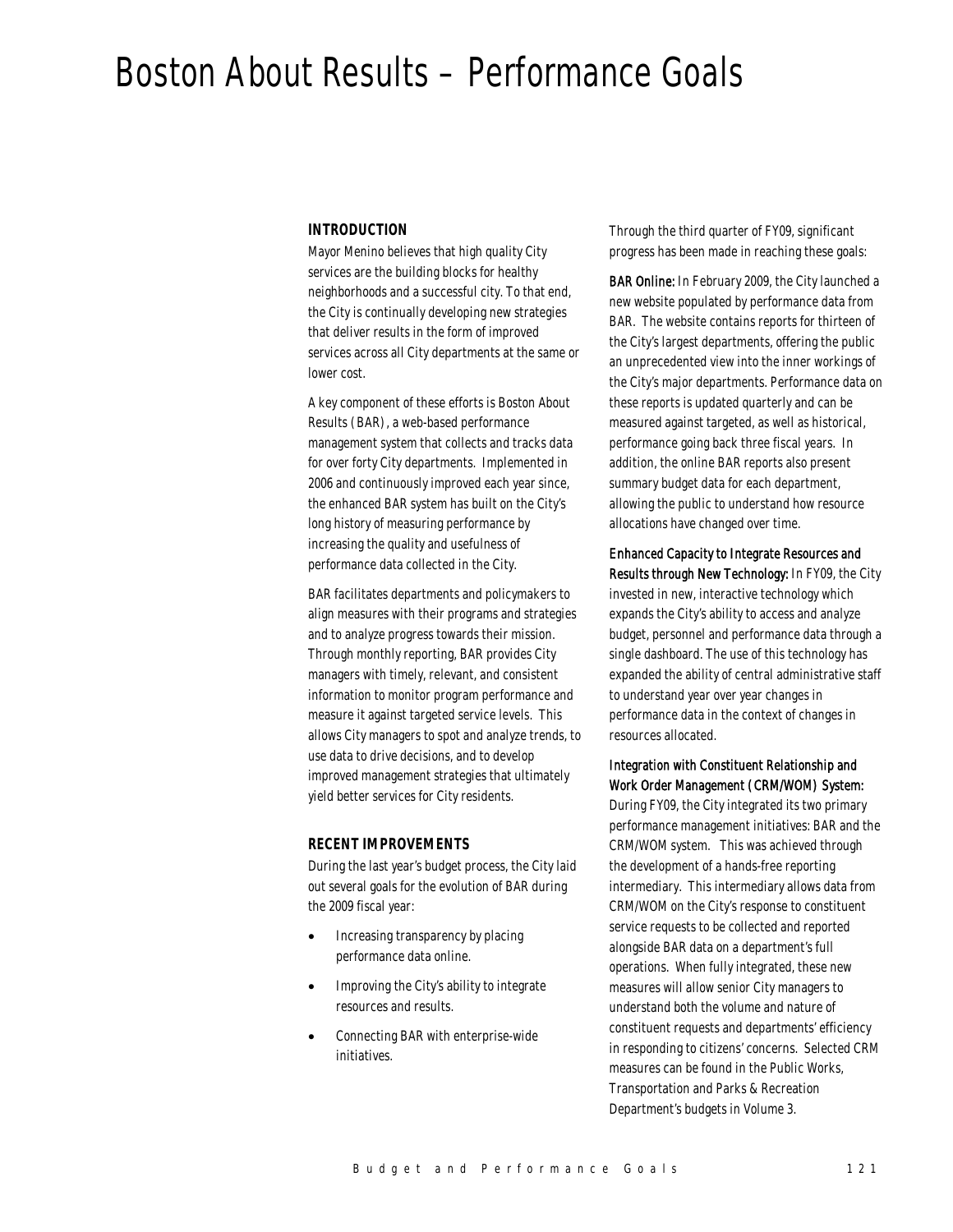# Boston About Results – Performance Goals

#### *INTRODUCTION*

Mayor Menino believes that high quality City services are the building blocks for healthy neighborhoods and a successful city. To that end, the City is continually developing new strategies that deliver results in the form of improved services across all City departments at the same or lower cost.

A key component of these efforts is Boston About Results (BAR), a web-based performance management system that collects and tracks data for over forty City departments. Implemented in 2006 and continuously improved each year since, the enhanced BAR system has built on the City's long history of measuring performance by increasing the quality and usefulness of performance data collected in the City.

BAR facilitates departments and policymakers to align measures with their programs and strategies and to analyze progress towards their mission. Through monthly reporting, BAR provides City managers with timely, relevant, and consistent information to monitor program performance and measure it against targeted service levels. This allows City managers to spot and analyze trends, to use data to drive decisions, and to develop improved management strategies that ultimately yield better services for City residents.

#### *RECENT IMPROVEMENTS*

During the last year's budget process, the City laid out several goals for the evolution of BAR during the 2009 fiscal year:

- Increasing transparency by placing performance data online.
- Improving the City's ability to integrate resources and results.
- Connecting BAR with enterprise-wide initiatives.

Through the third quarter of FY09, significant progress has been made in reaching these goals:

BAR Online: In February 2009, the City launched a new website populated by performance data from BAR. The website contains reports for thirteen of the City's largest departments, offering the public an unprecedented view into the inner workings of the City's major departments. Performance data on these reports is updated quarterly and can be measured against targeted, as well as historical, performance going back three fiscal years. In addition, the online BAR reports also present summary budget data for each department, allowing the public to understand how resource allocations have changed over time.

Enhanced Capacity to Integrate Resources and Results through New Technology: In FY09, the City invested in new, interactive technology which expands the City's ability to access and analyze budget, personnel and performance data through a single dashboard. The use of this technology has expanded the ability of central administrative staff to understand year over year changes in performance data in the context of changes in resources allocated.

#### Integration with Constituent Relationship and Work Order Management (CRM/WOM) System:

During FY09, the City integrated its two primary performance management initiatives: BAR and the CRM/WOM system. This was achieved through the development of a hands-free reporting intermediary. This intermediary allows data from CRM/WOM on the City's response to constituent service requests to be collected and reported alongside BAR data on a department's full operations. When fully integrated, these new measures will allow senior City managers to understand both the volume and nature of constituent requests and departments' efficiency in responding to citizens' concerns. Selected CRM measures can be found in the Public Works, Transportation and Parks & Recreation Department's budgets in Volume 3.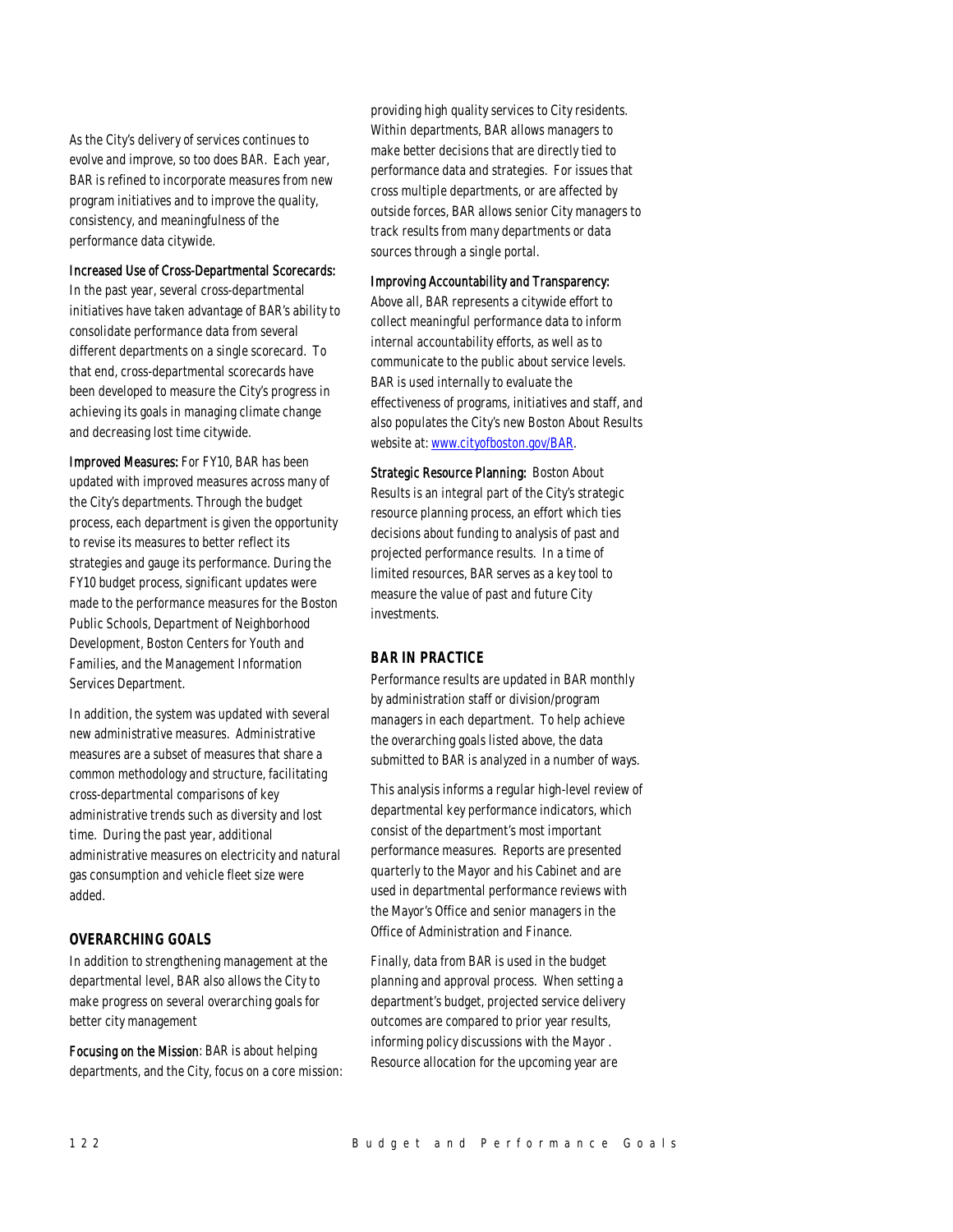As the City's delivery of services continues to evolve and improve, so too does BAR. Each year, BAR is refined to incorporate measures from new program initiatives and to improve the quality, consistency, and meaningfulness of the performance data citywide.

#### Increased Use of Cross-Departmental Scorecards:

In the past year, several cross-departmental initiatives have taken advantage of BAR's ability to consolidate performance data from several different departments on a single scorecard. To that end, cross-departmental scorecards have been developed to measure the City's progress in achieving its goals in managing climate change and decreasing lost time citywide.

Improved Measures: For FY10, BAR has been updated with improved measures across many of the City's departments. Through the budget process, each department is given the opportunity to revise its measures to better reflect its strategies and gauge its performance. During the FY10 budget process, significant updates were made to the performance measures for the Boston Public Schools, Department of Neighborhood Development, Boston Centers for Youth and Families, and the Management Information Services Department.

In addition, the system was updated with several new administrative measures. Administrative measures are a subset of measures that share a common methodology and structure, facilitating cross-departmental comparisons of key administrative trends such as diversity and lost time. During the past year, additional administrative measures on electricity and natural gas consumption and vehicle fleet size were added.

#### *OVERARCHING GOALS*

In addition to strengthening management at the departmental level, BAR also allows the City to make progress on several overarching goals for better city management

Focusing on the Mission: BAR is about helping departments, and the City, focus on a core mission: providing high quality services to City residents. Within departments, BAR allows managers to make better decisions that are directly tied to performance data and strategies. For issues that cross multiple departments, or are affected by outside forces, BAR allows senior City managers to track results from many departments or data sources through a single portal.

#### Improving Accountability and Transparency:

Above all, BAR represents a citywide effort to collect meaningful performance data to inform internal accountability efforts, as well as to communicate to the public about service levels. BAR is used internally to evaluate the effectiveness of programs, initiatives and staff, and also populates the City's new Boston About Results website at: www.cityofboston.gov/BAR.

Strategic Resource Planning: Boston About Results is an integral part of the City's strategic resource planning process, an effort which ties decisions about funding to analysis of past and projected performance results. In a time of limited resources, BAR serves as a key tool to measure the value of past and future City investments.

## *BAR IN PRACTICE*

Performance results are updated in BAR monthly by administration staff or division/program managers in each department. To help achieve the overarching goals listed above, the data submitted to BAR is analyzed in a number of ways.

This analysis informs a regular high-level review of departmental key performance indicators, which consist of the department's most important performance measures. Reports are presented quarterly to the Mayor and his Cabinet and are used in departmental performance reviews with the Mayor's Office and senior managers in the Office of Administration and Finance.

Finally, data from BAR is used in the budget planning and approval process. When setting a department's budget, projected service delivery outcomes are compared to prior year results, informing policy discussions with the Mayor . Resource allocation for the upcoming year are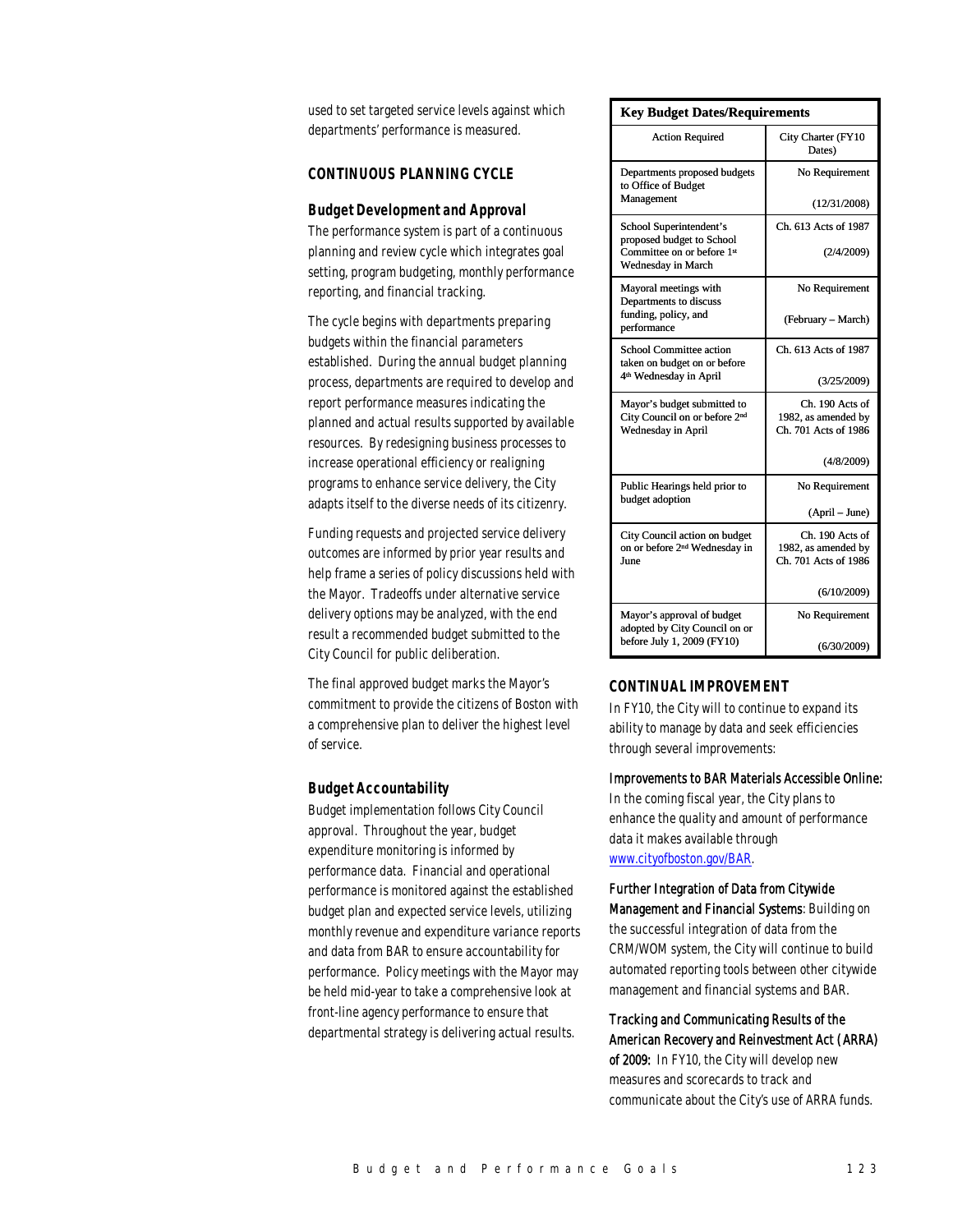used to set targeted service levels against which departments' performance is measured.

### *CONTINUOUS PLANNING CYCLE*

#### *Budget Development and Approval*

The performance system is part of a continuous planning and review cycle which integrates goal setting, program budgeting, monthly performance reporting, and financial tracking.

The cycle begins with departments preparing budgets within the financial parameters established. During the annual budget planning process, departments are required to develop and report performance measures indicating the planned and actual results supported by available resources. By redesigning business processes to increase operational efficiency or realigning programs to enhance service delivery, the City adapts itself to the diverse needs of its citizenry.

Funding requests and projected service delivery outcomes are informed by prior year results and help frame a series of policy discussions held with the Mayor. Tradeoffs under alternative service delivery options may be analyzed, with the end result a recommended budget submitted to the City Council for public deliberation.

The final approved budget marks the Mayor's commitment to provide the citizens of Boston with a comprehensive plan to deliver the highest level of service.

#### *Budget Accountability*

Budget implementation follows City Council approval. Throughout the year, budget expenditure monitoring is informed by performance data. Financial and operational performance is monitored against the established budget plan and expected service levels, utilizing monthly revenue and expenditure variance reports and data from BAR to ensure accountability for performance. Policy meetings with the Mayor may be held mid-year to take a comprehensive look at front-line agency performance to ensure that departmental strategy is delivering actual results.

| <b>Key Budget Dates/Requirements</b>                                       |                                        |  |
|----------------------------------------------------------------------------|----------------------------------------|--|
| <b>Action Required</b>                                                     | City Charter (FY10<br>Dates)           |  |
| Departments proposed budgets<br>to Office of Budget                        | No Requirement                         |  |
| Management                                                                 | (12/31/2008)                           |  |
| School Superintendent's<br>proposed budget to School                       | Ch. 613 Acts of 1987                   |  |
| Committee on or before 1st<br>Wednesday in March                           | (2/4/2009)                             |  |
| Mayoral meetings with<br>Departments to discuss                            | No Requirement                         |  |
| funding, policy, and<br>performance                                        | (February – March)                     |  |
| School Committee action<br>taken on budget on or before                    | Ch. 613 Acts of 1987                   |  |
| 4 <sup>th</sup> Wednesday in April                                         | (3/25/2009)                            |  |
| Mayor's budget submitted to<br>City Council on or before 2 <sup>nd</sup>   | Ch. 190 Acts of<br>1982, as amended by |  |
| Wednesday in April                                                         | Ch. 701 Acts of 1986                   |  |
|                                                                            | (4/8/2009)                             |  |
| Public Hearings held prior to<br>budget adoption                           | No Requirement                         |  |
|                                                                            | (April – June)                         |  |
| City Council action on budget<br>on or before 2 <sup>nd</sup> Wednesday in | Ch. 190 Acts of<br>1982, as amended by |  |
| June                                                                       | Ch. 701 Acts of 1986                   |  |
|                                                                            | (6/10/2009)                            |  |
| Mayor's approval of budget<br>adopted by City Council on or                | No Requirement                         |  |
| before July 1, 2009 (FY10)                                                 | (6/30/2009)                            |  |

#### *CONTINUAL IMPROVEMENT*

In FY10, the City will to continue to expand its ability to manage by data and seek efficiencies through several improvements:

#### Improvements to BAR Materials Accessible Online:

In the coming fiscal year, the City plans to enhance the quality and amount of performance data it makes available through www.cityofboston.gov/BAR.

### Further Integration of Data from Citywide

Management and Financial Systems: Building on the successful integration of data from the CRM/WOM system, the City will continue to build automated reporting tools between other citywide management and financial systems and BAR.

#### Tracking and Communicating Results of the American Recovery and Reinvestment Act (ARRA)

of 2009: In FY10, the City will develop new measures and scorecards to track and communicate about the City's use of ARRA funds.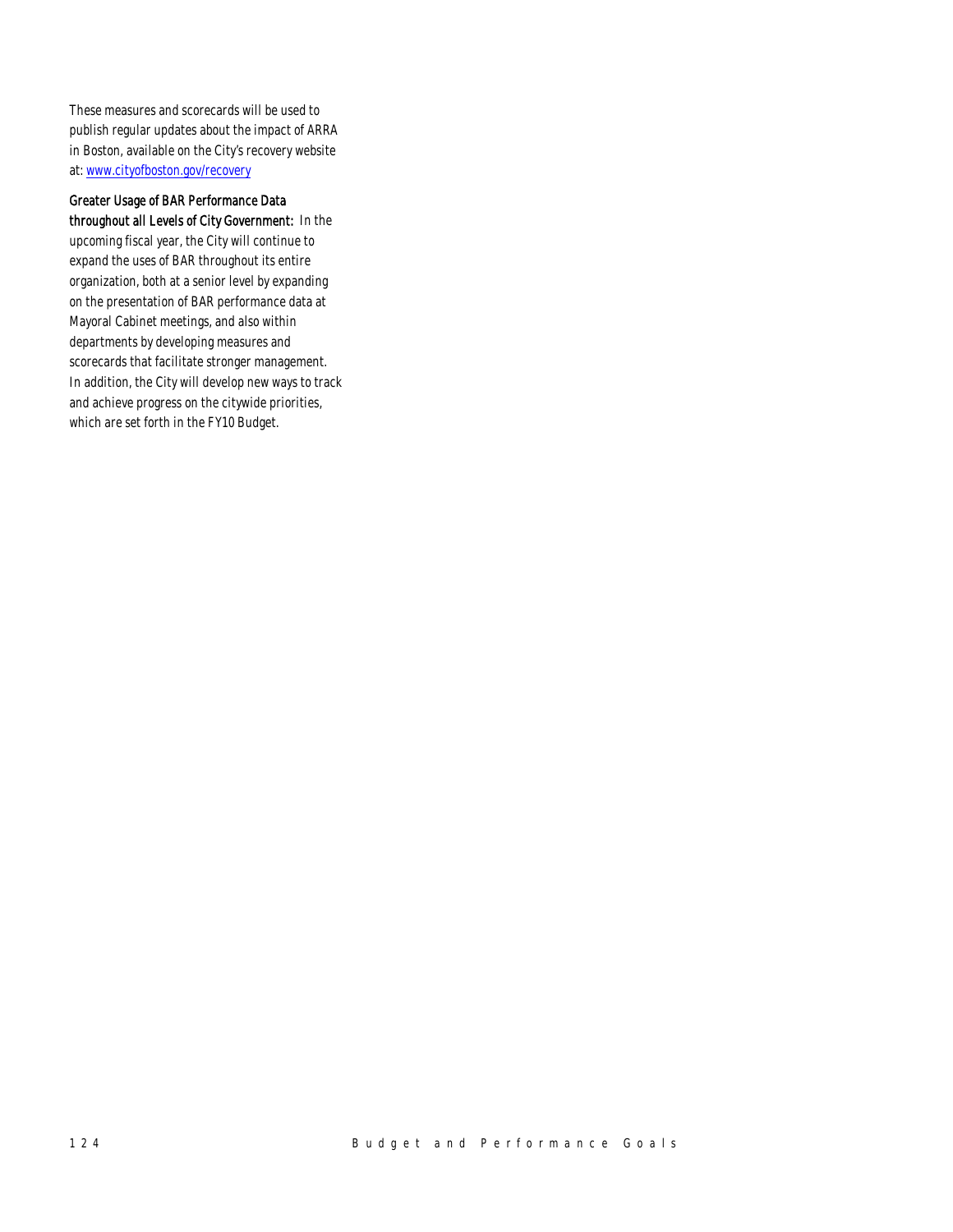These measures and scorecards will be used to publish regular updates about the impact of ARRA in Boston, available on the City's recovery website at: www.cityofboston.gov/recovery

Greater Usage of BAR Performance Data throughout all Levels of City Government: In the upcoming fiscal year, the City will continue to expand the uses of BAR throughout its entire organization, both at a senior level by expanding on the presentation of BAR performance data at Mayoral Cabinet meetings, and also within departments by developing measures and scorecards that facilitate stronger management. In addition, the City will develop new ways to track

and achieve progress on the citywide priorities, which are set forth in the FY10 Budget.

124 Budget and Performance Goals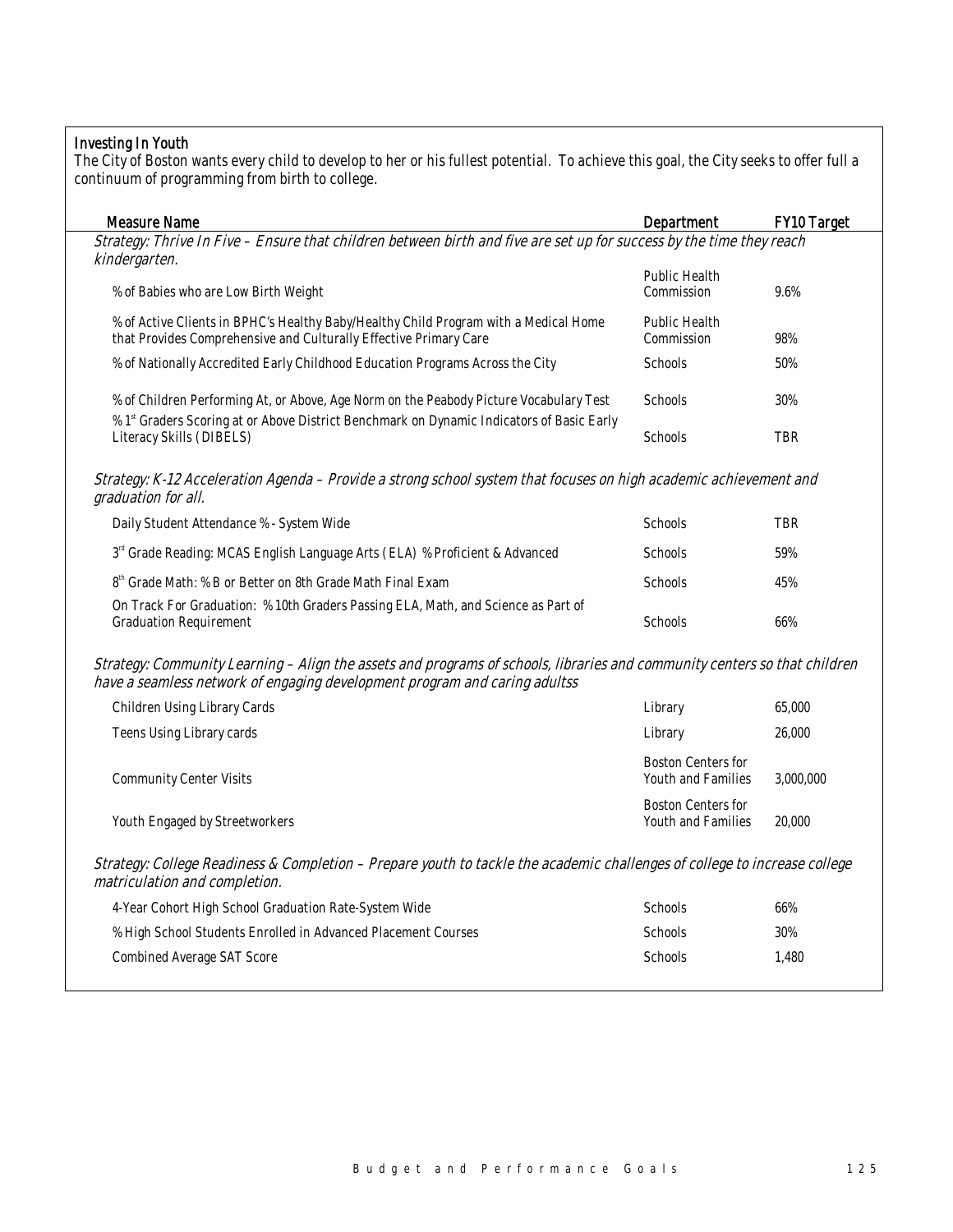## Investing In Youth

The City of Boston wants every child to develop to her or his fullest potential. To achieve this goal, the City seeks to offer full a continuum of programming from birth to college.

| <b>Measure Name</b>                                                                                                                                                                                     | Department                                             | FY10 Target |
|---------------------------------------------------------------------------------------------------------------------------------------------------------------------------------------------------------|--------------------------------------------------------|-------------|
| Strategy: Thrive In Five – Ensure that children between birth and five are set up for success by the time they reach<br>kindergarten.                                                                   |                                                        |             |
| % of Babies who are Low Birth Weight                                                                                                                                                                    | <b>Public Health</b><br>Commission                     | 9.6%        |
| % of Active Clients in BPHC's Healthy Baby/Healthy Child Program with a Medical Home<br>that Provides Comprehensive and Culturally Effective Primary Care                                               | Public Health<br>Commission                            | 98%         |
| % of Nationally Accredited Early Childhood Education Programs Across the City                                                                                                                           | Schools                                                | 50%         |
| % of Children Performing At, or Above, Age Norm on the Peabody Picture Vocabulary Test<br>% 1 <sup>st</sup> Graders Scoring at or Above District Benchmark on Dynamic Indicators of Basic Early         | Schools                                                | 30%         |
| Literacy Skills (DIBELS)                                                                                                                                                                                | Schools                                                | <b>TBR</b>  |
| Strategy: K-12 Acceleration Agenda – Provide a strong school system that focuses on high academic achievement and<br>graduation for all.                                                                |                                                        |             |
| Daily Student Attendance % - System Wide                                                                                                                                                                | Schools                                                | <b>TBR</b>  |
| 3 <sup>rd</sup> Grade Reading: MCAS English Language Arts (ELA) % Proficient & Advanced                                                                                                                 | Schools                                                | 59%         |
| $8^{\rm th}$ Grade Math: % B or Better on 8th Grade Math Final Exam                                                                                                                                     | Schools                                                | 45%         |
| On Track For Graduation: % 10th Graders Passing ELA, Math, and Science as Part of<br><b>Graduation Requirement</b>                                                                                      | Schools                                                | 66%         |
| Strategy: Community Learning – Align the assets and programs of schools, libraries and community centers so that children<br>have a seamless network of engaging development program and caring adultss |                                                        |             |
| Children Using Library Cards                                                                                                                                                                            | Library                                                | 65,000      |
| Teens Using Library cards                                                                                                                                                                               | Library                                                | 26,000      |
| <b>Community Center Visits</b>                                                                                                                                                                          | <b>Boston Centers for</b><br><b>Youth and Families</b> | 3,000,000   |
| Youth Engaged by Streetworkers                                                                                                                                                                          | <b>Boston Centers for</b><br>Youth and Families        | 20,000      |
| Strategy: College Readiness & Completion - Prepare youth to tackle the academic challenges of college to increase college<br>matriculation and completion.                                              |                                                        |             |
| 4-Year Cohort High School Graduation Rate-System Wide                                                                                                                                                   | Schools                                                | 66%         |
| % High School Students Enrolled in Advanced Placement Courses                                                                                                                                           | Schools                                                | 30%         |
| <b>Combined Average SAT Score</b>                                                                                                                                                                       | Schools                                                | 1,480       |
|                                                                                                                                                                                                         |                                                        |             |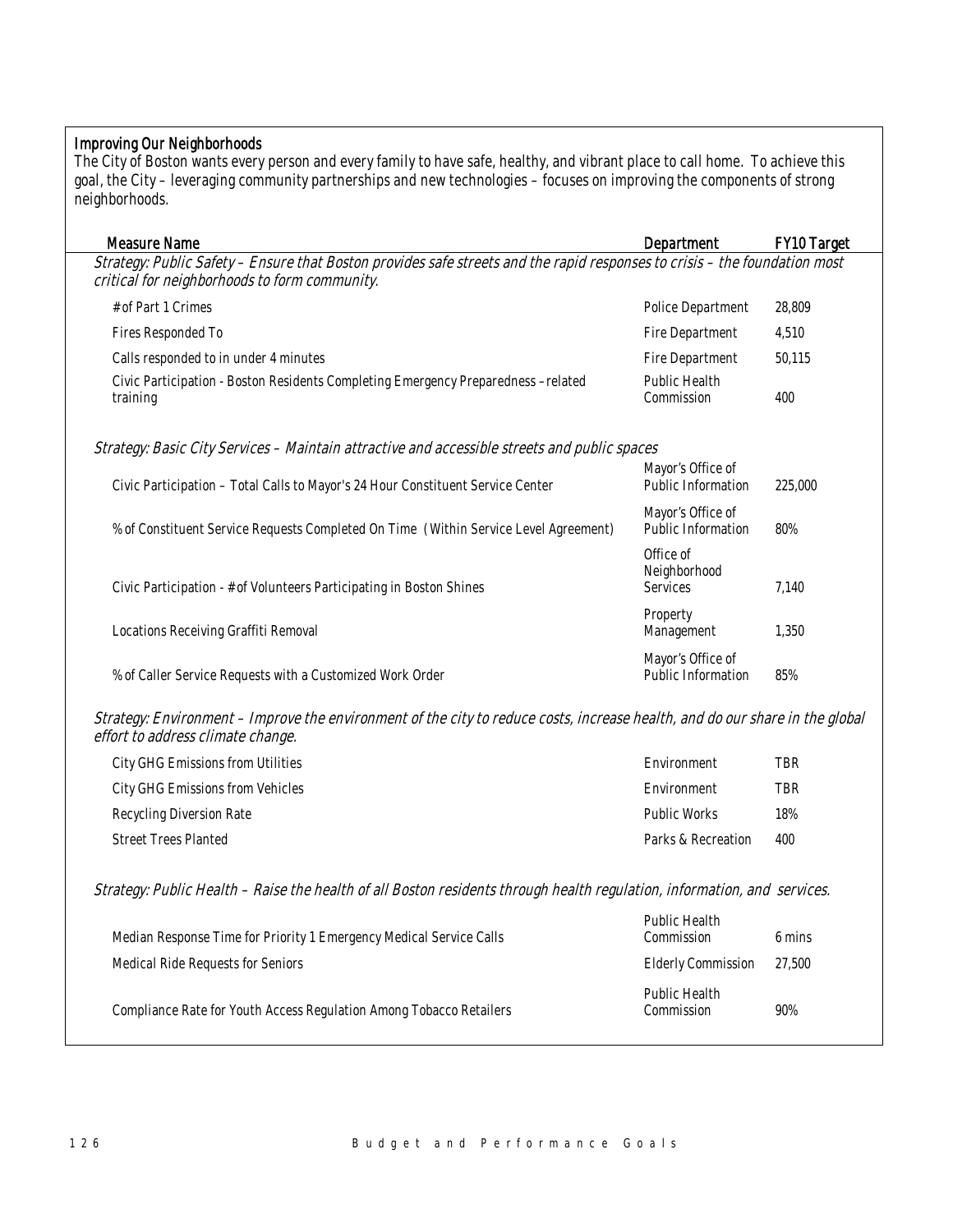## Improving Our Neighborhoods

The City of Boston wants every person and every family to have safe, healthy, and vibrant place to call home. To achieve this goal, the City – leveraging community partnerships and new technologies – focuses on improving the components of strong neighborhoods.

| <b>Measure Name</b>                                                                                                                                                         | Department                                     | <b>FY10 Target</b> |
|-----------------------------------------------------------------------------------------------------------------------------------------------------------------------------|------------------------------------------------|--------------------|
| Strategy: Public Safety - Ensure that Boston provides safe streets and the rapid responses to crisis - the foundation most<br>critical for neighborhoods to form community. |                                                |                    |
| # of Part 1 Crimes                                                                                                                                                          | <b>Police Department</b>                       | 28,809             |
| Fires Responded To                                                                                                                                                          | Fire Department                                | 4,510              |
| Calls responded to in under 4 minutes                                                                                                                                       | <b>Fire Department</b>                         | 50,115             |
| Civic Participation - Boston Residents Completing Emergency Preparedness -related<br>training                                                                               | Public Health<br>Commission                    | 400                |
| Strategy: Basic City Services – Maintain attractive and accessible streets and public spaces                                                                                |                                                |                    |
| Civic Participation - Total Calls to Mayor's 24 Hour Constituent Service Center                                                                                             | Mayor's Office of<br>Public Information        | 225,000            |
| % of Constituent Service Requests Completed On Time (Within Service Level Agreement)                                                                                        | Mayor's Office of<br><b>Public Information</b> | 80%                |
| Civic Participation - # of Volunteers Participating in Boston Shines                                                                                                        | Office of<br>Neighborhood<br><b>Services</b>   | 7,140              |
| Locations Receiving Graffiti Removal                                                                                                                                        | Property<br>Management                         | 1,350              |
| % of Caller Service Requests with a Customized Work Order                                                                                                                   | Mayor's Office of<br>Public Information        | 85%                |

Strategy: Environment – Improve the environment of the city to reduce costs, increase health, and do our share in the global effort to address climate change.

| City GHG Emissions from Utilities | Environment        | TBR        |
|-----------------------------------|--------------------|------------|
| City GHG Emissions from Vehicles  | Environment        | <b>TBR</b> |
| Recycling Diversion Rate          | Public Works       | 18%        |
| <b>Street Trees Planted</b>       | Parks & Recreation | 400        |

Strategy: Public Health – Raise the health of all Boston residents through health regulation, information, and services.

| Median Response Time for Priority 1 Emergency Medical Service Calls | Public Health<br>Commission | 6 mins |
|---------------------------------------------------------------------|-----------------------------|--------|
| Medical Ride Requests for Seniors                                   | <b>Elderly Commission</b>   | 27,500 |
| Compliance Rate for Youth Access Regulation Among Tobacco Retailers | Public Health<br>Commission | 90%    |